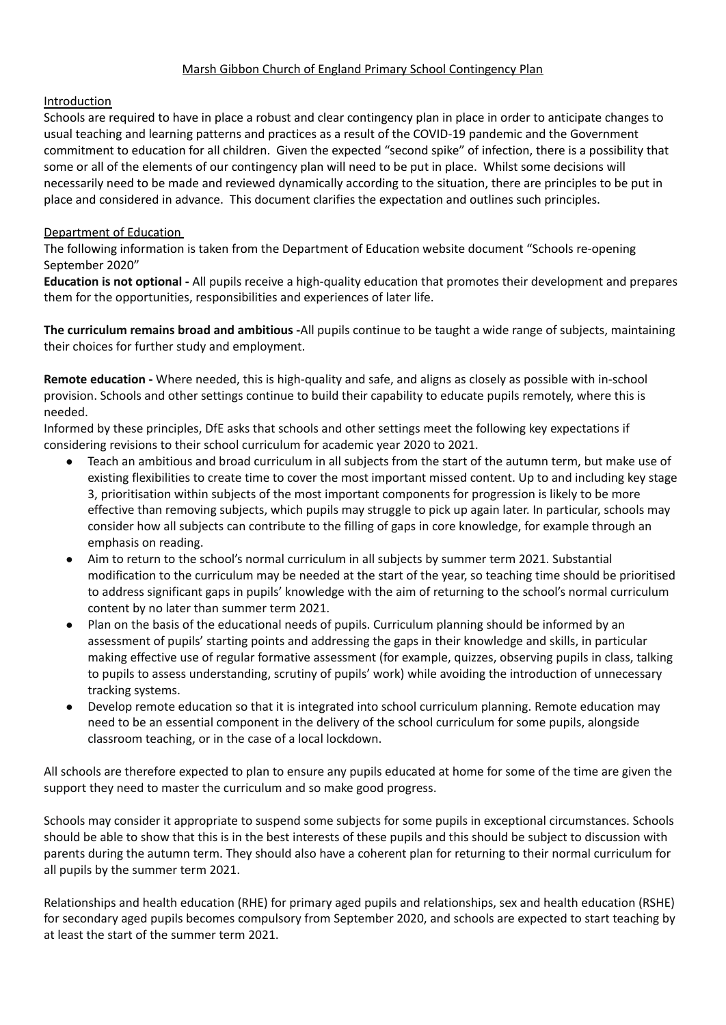# Marsh Gibbon Church of England Primary School Contingency Plan

# Introduction

Schools are required to have in place a robust and clear contingency plan in place in order to anticipate changes to usual teaching and learning patterns and practices as a result of the COVID-19 pandemic and the Government commitment to education for all children. Given the expected "second spike" of infection, there is a possibility that some or all of the elements of our contingency plan will need to be put in place. Whilst some decisions will necessarily need to be made and reviewed dynamically according to the situation, there are principles to be put in place and considered in advance. This document clarifies the expectation and outlines such principles.

# Department of Education

The following information is taken from the Department of Education website document "Schools re-opening September 2020"

**Education is not optional -** All pupils receive a high-quality education that promotes their development and prepares them for the opportunities, responsibilities and experiences of later life.

**The curriculum remains broad and ambitious -**All pupils continue to be taught a wide range of subjects, maintaining their choices for further study and employment.

**Remote education -** Where needed, this is high-quality and safe, and aligns as closely as possible with in-school provision. Schools and other settings continue to build their capability to educate pupils remotely, where this is needed.

Informed by these principles, DfE asks that schools and other settings meet the following key expectations if considering revisions to their school curriculum for academic year 2020 to 2021.

- Teach an ambitious and broad curriculum in all subjects from the start of the autumn term, but make use of existing flexibilities to create time to cover the most important missed content. Up to and including key stage 3, prioritisation within subjects of the most important components for progression is likely to be more effective than removing subjects, which pupils may struggle to pick up again later. In particular, schools may consider how all subjects can contribute to the filling of gaps in core knowledge, for example through an emphasis on reading.
- Aim to return to the school's normal curriculum in all subjects by summer term 2021. Substantial modification to the curriculum may be needed at the start of the year, so teaching time should be prioritised to address significant gaps in pupils' knowledge with the aim of returning to the school's normal curriculum content by no later than summer term 2021.
- Plan on the basis of the educational needs of pupils. Curriculum planning should be informed by an assessment of pupils' starting points and addressing the gaps in their knowledge and skills, in particular making effective use of regular formative assessment (for example, quizzes, observing pupils in class, talking to pupils to assess understanding, scrutiny of pupils' work) while avoiding the introduction of unnecessary tracking systems.
- Develop remote education so that it is integrated into school curriculum planning. Remote education may need to be an essential component in the delivery of the school curriculum for some pupils, alongside classroom teaching, or in the case of a local lockdown.

All schools are therefore expected to plan to ensure any pupils educated at home for some of the time are given the support they need to master the curriculum and so make good progress.

Schools may consider it appropriate to suspend some subjects for some pupils in exceptional circumstances. Schools should be able to show that this is in the best interests of these pupils and this should be subject to discussion with parents during the autumn term. They should also have a coherent plan for returning to their normal curriculum for all pupils by the summer term 2021.

Relationships and health education (RHE) for primary aged pupils and relationships, sex and health education (RSHE) for secondary aged pupils becomes compulsory from September 2020, and schools are expected to start teaching by at least the start of the summer term 2021.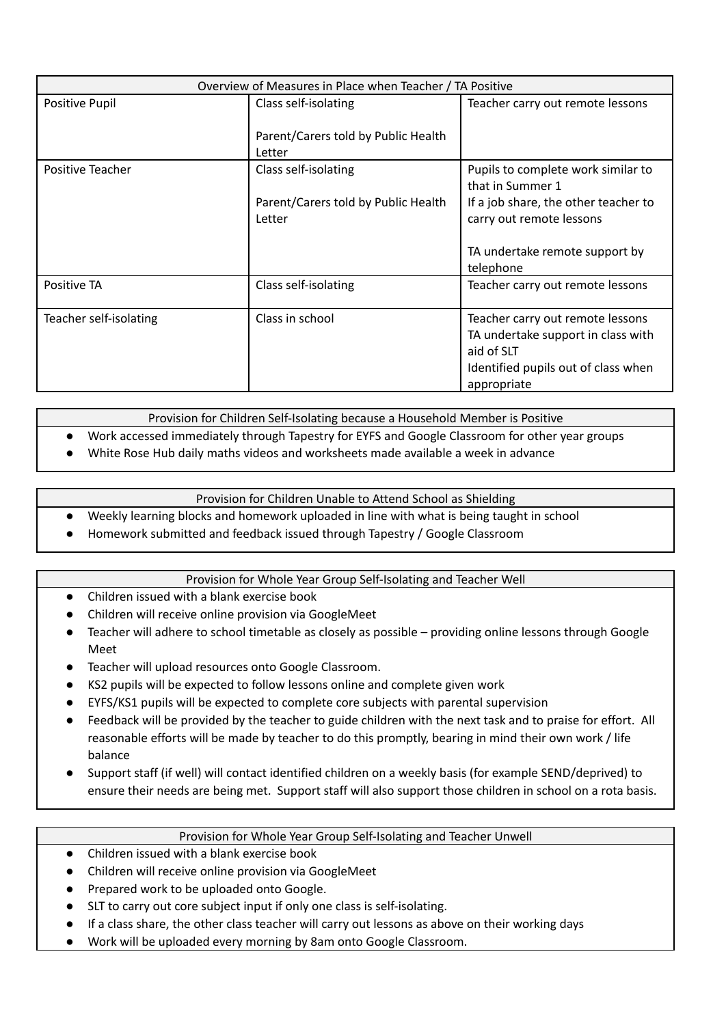| Overview of Measures in Place when Teacher / TA Positive |                                               |                                                                                                                                            |
|----------------------------------------------------------|-----------------------------------------------|--------------------------------------------------------------------------------------------------------------------------------------------|
| Positive Pupil                                           | Class self-isolating                          | Teacher carry out remote lessons                                                                                                           |
|                                                          | Parent/Carers told by Public Health<br>Letter |                                                                                                                                            |
| Positive Teacher                                         | Class self-isolating                          | Pupils to complete work similar to<br>that in Summer 1                                                                                     |
|                                                          | Parent/Carers told by Public Health<br>Letter | If a job share, the other teacher to<br>carry out remote lessons                                                                           |
|                                                          |                                               | TA undertake remote support by<br>telephone                                                                                                |
| Positive TA                                              | Class self-isolating                          | Teacher carry out remote lessons                                                                                                           |
| Teacher self-isolating                                   | Class in school                               | Teacher carry out remote lessons<br>TA undertake support in class with<br>aid of SLT<br>Identified pupils out of class when<br>appropriate |

Provision for Children Self-Isolating because a Household Member is Positive

- Work accessed immediately through Tapestry for EYFS and Google Classroom for other year groups
- White Rose Hub daily maths videos and worksheets made available a week in advance

Provision for Children Unable to Attend School as Shielding

- Weekly learning blocks and homework uploaded in line with what is being taught in school
- Homework submitted and feedback issued through Tapestry / Google Classroom

## Provision for Whole Year Group Self-Isolating and Teacher Well

- Children issued with a blank exercise book
- Children will receive online provision via GoogleMeet
- Teacher will adhere to school timetable as closely as possible providing online lessons through Google Meet
- Teacher will upload resources onto Google Classroom.
- KS2 pupils will be expected to follow lessons online and complete given work
- EYFS/KS1 pupils will be expected to complete core subjects with parental supervision
- Feedback will be provided by the teacher to guide children with the next task and to praise for effort. All reasonable efforts will be made by teacher to do this promptly, bearing in mind their own work / life balance
- Support staff (if well) will contact identified children on a weekly basis (for example SEND/deprived) to ensure their needs are being met. Support staff will also support those children in school on a rota basis.

## Provision for Whole Year Group Self-Isolating and Teacher Unwell

- Children issued with a blank exercise book
- Children will receive online provision via GoogleMeet
- Prepared work to be uploaded onto Google.
- SLT to carry out core subject input if only one class is self-isolating.
- If a class share, the other class teacher will carry out lessons as above on their working days
- Work will be uploaded every morning by 8am onto Google Classroom.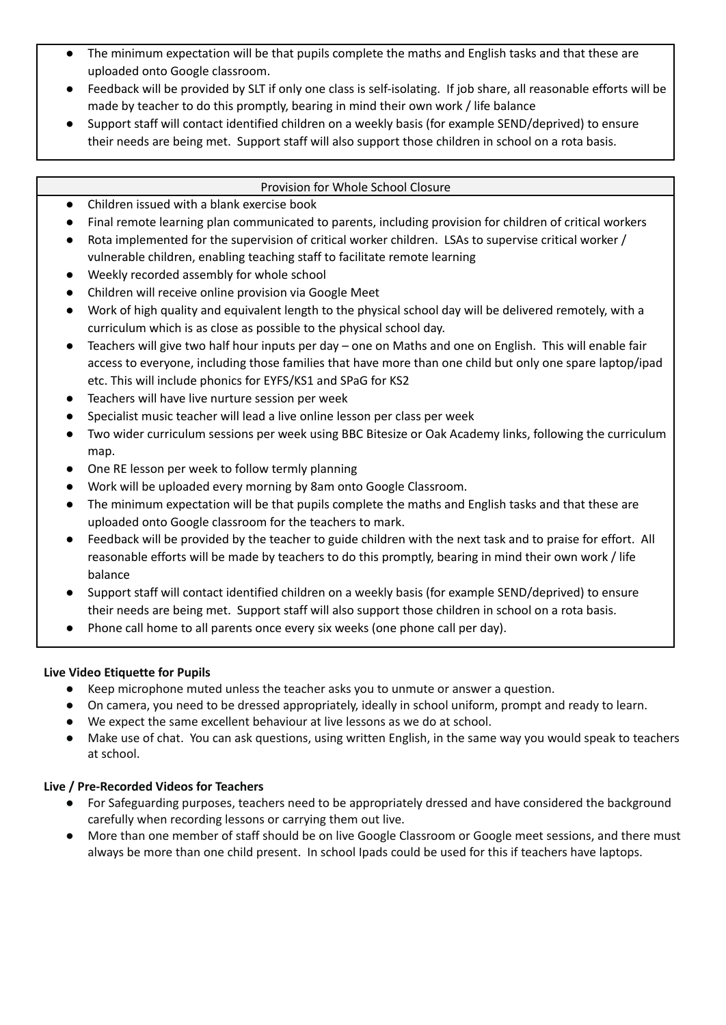- The minimum expectation will be that pupils complete the maths and English tasks and that these are uploaded onto Google classroom.
- Feedback will be provided by SLT if only one class is self-isolating. If job share, all reasonable efforts will be made by teacher to do this promptly, bearing in mind their own work / life balance
- Support staff will contact identified children on a weekly basis (for example SEND/deprived) to ensure their needs are being met. Support staff will also support those children in school on a rota basis.

## Provision for Whole School Closure

- Children issued with a blank exercise book
- Final remote learning plan communicated to parents, including provision for children of critical workers
- Rota implemented for the supervision of critical worker children. LSAs to supervise critical worker / vulnerable children, enabling teaching staff to facilitate remote learning
- Weekly recorded assembly for whole school
- Children will receive online provision via Google Meet
- Work of high quality and equivalent length to the physical school day will be delivered remotely, with a curriculum which is as close as possible to the physical school day.
- Teachers will give two half hour inputs per day one on Maths and one on English. This will enable fair access to everyone, including those families that have more than one child but only one spare laptop/ipad etc. This will include phonics for EYFS/KS1 and SPaG for KS2
- Teachers will have live nurture session per week
- Specialist music teacher will lead a live online lesson per class per week
- Two wider curriculum sessions per week using BBC Bitesize or Oak Academy links, following the curriculum map.
- One RE lesson per week to follow termly planning
- Work will be uploaded every morning by 8am onto Google Classroom.
- The minimum expectation will be that pupils complete the maths and English tasks and that these are uploaded onto Google classroom for the teachers to mark.
- Feedback will be provided by the teacher to guide children with the next task and to praise for effort. All reasonable efforts will be made by teachers to do this promptly, bearing in mind their own work / life balance
- Support staff will contact identified children on a weekly basis (for example SEND/deprived) to ensure their needs are being met. Support staff will also support those children in school on a rota basis.
- Phone call home to all parents once every six weeks (one phone call per day).

## **Live Video Etiquette for Pupils**

- Keep microphone muted unless the teacher asks you to unmute or answer a question.
- On camera, you need to be dressed appropriately, ideally in school uniform, prompt and ready to learn.
- We expect the same excellent behaviour at live lessons as we do at school.
- Make use of chat. You can ask questions, using written English, in the same way you would speak to teachers at school.

## **Live / Pre-Recorded Videos for Teachers**

- For Safeguarding purposes, teachers need to be appropriately dressed and have considered the background carefully when recording lessons or carrying them out live.
- More than one member of staff should be on live Google Classroom or Google meet sessions, and there must always be more than one child present. In school Ipads could be used for this if teachers have laptops.